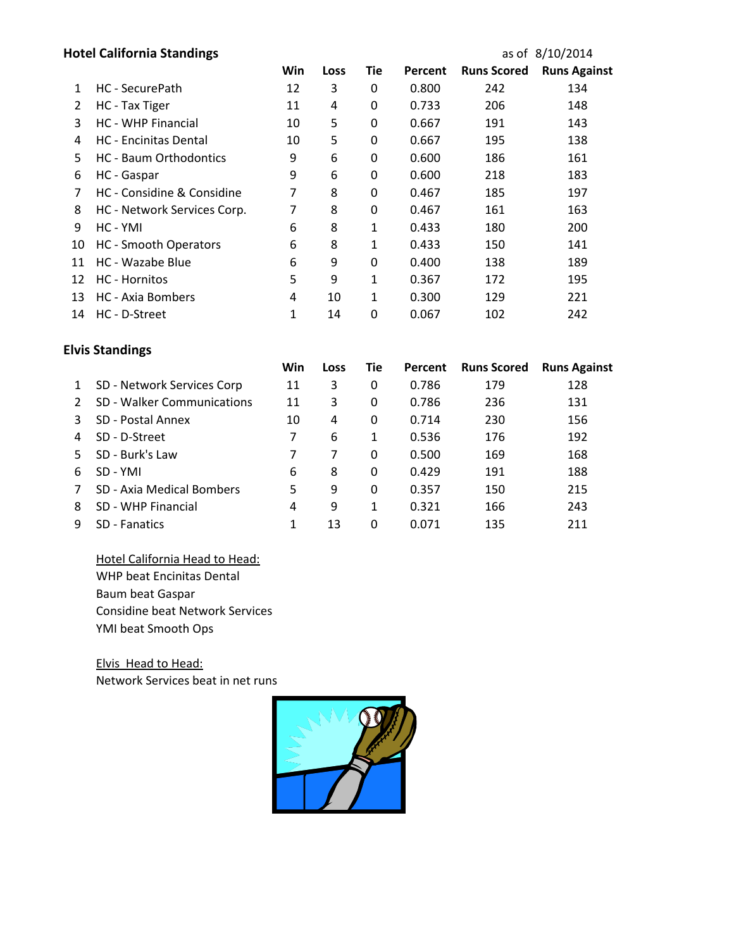## Hotel California Standings<br>
as of 8/10/2014

|    |                               | Win | Loss | Tie | Percent | <b>Runs Scored</b> | <b>Runs Against</b> |
|----|-------------------------------|-----|------|-----|---------|--------------------|---------------------|
| 1  | HC - SecurePath               | 12  | 3    | 0   | 0.800   | 242                | 134                 |
| 2  | HC - Tax Tiger                | 11  | 4    | 0   | 0.733   | 206                | 148                 |
| 3  | <b>HC</b> - WHP Financial     | 10  | 5    | 0   | 0.667   | 191                | 143                 |
| 4  | <b>HC</b> - Encinitas Dental  | 10  | 5    | 0   | 0.667   | 195                | 138                 |
| 5. | <b>HC</b> - Baum Orthodontics | 9   | 6    | 0   | 0.600   | 186                | 161                 |
| 6  | HC - Gaspar                   | 9   | 6    | 0   | 0.600   | 218                | 183                 |
| 7  | HC - Considine & Considine    | 7   | 8    | 0   | 0.467   | 185                | 197                 |
| 8  | HC - Network Services Corp.   | 7   | 8    | 0   | 0.467   | 161                | 163                 |
| 9  | HC - YMI                      | 6   | 8    | 1   | 0.433   | 180                | 200                 |
| 10 | <b>HC</b> - Smooth Operators  | 6   | 8    | 1   | 0.433   | 150                | 141                 |
| 11 | HC - Wazabe Blue              | 6   | 9    | 0   | 0.400   | 138                | 189                 |
| 12 | <b>HC</b> - Hornitos          | 5   | 9    | 1   | 0.367   | 172                | 195                 |
| 13 | HC - Axia Bombers             | 4   | 10   | 1   | 0.300   | 129                | 221                 |
| 14 | HC - D-Street                 | 1   | 14   | 0   | 0.067   | 102                | 242                 |

## **Elvis Standings**

|   |                            | Win | <b>Loss</b> | Tie      | Percent | <b>Runs Scored</b> | <b>Runs Against</b> |
|---|----------------------------|-----|-------------|----------|---------|--------------------|---------------------|
|   | SD - Network Services Corp | 11  | 3           | 0        | 0.786   | 179                | 128                 |
|   | SD - Walker Communications | 11  | 3           | 0        | 0.786   | 236                | 131                 |
|   | SD - Postal Annex          | 10  | 4           | 0        | 0.714   | 230                | 156                 |
| 4 | SD - D-Street              | 7   | 6           | 1        | 0.536   | 176                | 192                 |
|   | SD - Burk's Law            |     | 7           | 0        | 0.500   | 169                | 168                 |
| 6 | SD - YMI                   | 6   | 8           | 0        | 0.429   | 191                | 188                 |
|   | SD - Axia Medical Bombers  | 5   | 9           | 0        | 0.357   | 150                | 215                 |
| 8 | SD - WHP Financial         | 4   | 9           | 1        | 0.321   | 166                | 243                 |
| q | <b>SD</b> - Fanatics       | 1   | 13          | $\Omega$ | 0.071   | 135                | 211                 |

Hotel California Head to Head: WHP beat Encinitas Dental Baum beat Gaspar Considine beat Network Services YMI beat Smooth Ops

Elvis Head to Head: Network Services beat in net runs

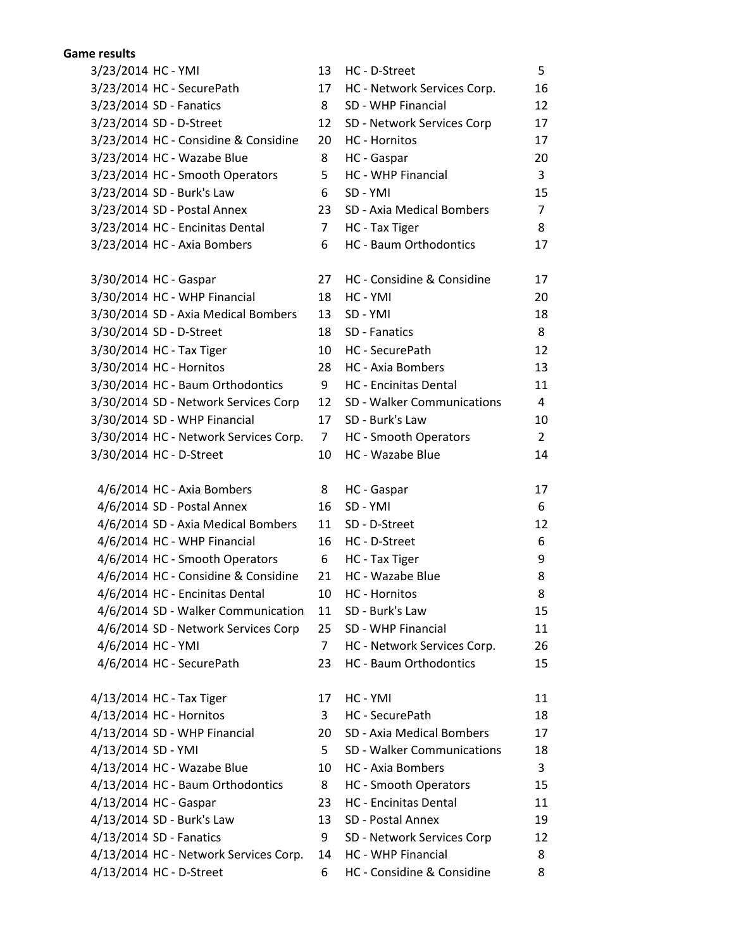## **Game results**

| 3/23/2014 HC - YMI                    | 13             | HC - D-Street                | 5              |
|---------------------------------------|----------------|------------------------------|----------------|
| 3/23/2014 HC - SecurePath             | 17             | HC - Network Services Corp.  | 16             |
| 3/23/2014 SD - Fanatics               | 8              | SD - WHP Financial           | 12             |
| 3/23/2014 SD - D-Street               | 12             | SD - Network Services Corp   | 17             |
| 3/23/2014 HC - Considine & Considine  | 20             | HC - Hornitos                | 17             |
| 3/23/2014 HC - Wazabe Blue            | 8              | HC - Gaspar                  | 20             |
| 3/23/2014 HC - Smooth Operators       | 5              | HC - WHP Financial           | 3              |
| 3/23/2014 SD - Burk's Law             | 6              | SD - YMI                     | 15             |
| 3/23/2014 SD - Postal Annex           | 23             | SD - Axia Medical Bombers    | $\overline{7}$ |
| 3/23/2014 HC - Encinitas Dental       | $\overline{7}$ | HC - Tax Tiger               | 8              |
| 3/23/2014 HC - Axia Bombers           | 6              | HC - Baum Orthodontics       | 17             |
| 3/30/2014 HC - Gaspar                 | 27             | HC - Considine & Considine   | 17             |
| 3/30/2014 HC - WHP Financial          | 18             | HC - YMI                     | 20             |
| 3/30/2014 SD - Axia Medical Bombers   | 13             | SD - YMI                     | 18             |
| 3/30/2014 SD - D-Street               | 18             | SD - Fanatics                | 8              |
| 3/30/2014 HC - Tax Tiger              | 10             | HC - SecurePath              | 12             |
| 3/30/2014 HC - Hornitos               | 28             | <b>HC</b> - Axia Bombers     | 13             |
| 3/30/2014 HC - Baum Orthodontics      | 9              | <b>HC</b> - Encinitas Dental | 11             |
| 3/30/2014 SD - Network Services Corp  | 12             | SD - Walker Communications   | $\overline{4}$ |
| 3/30/2014 SD - WHP Financial          | 17             | SD - Burk's Law              | 10             |
| 3/30/2014 HC - Network Services Corp. | $\overline{7}$ | <b>HC</b> - Smooth Operators | $\overline{2}$ |
| 3/30/2014 HC - D-Street               | 10             | HC - Wazabe Blue             | 14             |
| 4/6/2014 HC - Axia Bombers            | 8              | HC - Gaspar                  | 17             |
| 4/6/2014 SD - Postal Annex            | 16             | SD - YMI                     | 6              |
| 4/6/2014 SD - Axia Medical Bombers    | 11             | SD - D-Street                | 12             |
| 4/6/2014 HC - WHP Financial           | 16             | HC - D-Street                | 6              |
| 4/6/2014 HC - Smooth Operators        | 6              | HC - Tax Tiger               | 9              |
| 4/6/2014 HC - Considine & Considine   | 21             | HC - Wazabe Blue             | 8              |
| 4/6/2014 HC - Encinitas Dental        | 10             | <b>HC</b> - Hornitos         | 8              |
| 4/6/2014 SD - Walker Communication    | 11             | SD - Burk's Law              | 15             |
| 4/6/2014 SD - Network Services Corp   | 25             | SD - WHP Financial           | 11             |
| 4/6/2014 HC - YMI                     | $\overline{7}$ | HC - Network Services Corp.  | 26             |
| 4/6/2014 HC - SecurePath              | 23             | HC - Baum Orthodontics       | 15             |
| 4/13/2014 HC - Tax Tiger              | 17             | HC - YMI                     | 11             |
| 4/13/2014 HC - Hornitos               | 3              | HC - SecurePath              | 18             |
| 4/13/2014 SD - WHP Financial          | 20             | SD - Axia Medical Bombers    | 17             |
| 4/13/2014 SD - YMI                    | 5.             | SD - Walker Communications   | 18             |
| 4/13/2014 HC - Wazabe Blue            | 10             | HC - Axia Bombers            | 3              |
| 4/13/2014 HC - Baum Orthodontics      | 8              | <b>HC</b> - Smooth Operators | 15             |
| 4/13/2014 HC - Gaspar                 | 23             | HC - Encinitas Dental        | 11             |
| 4/13/2014 SD - Burk's Law             | 13             | SD - Postal Annex            | 19             |
| 4/13/2014 SD - Fanatics               | 9              | SD - Network Services Corp   | 12             |
| 4/13/2014 HC - Network Services Corp. | 14             | HC - WHP Financial           | 8              |
| 4/13/2014 HC - D-Street               | 6              | HC - Considine & Considine   | 8              |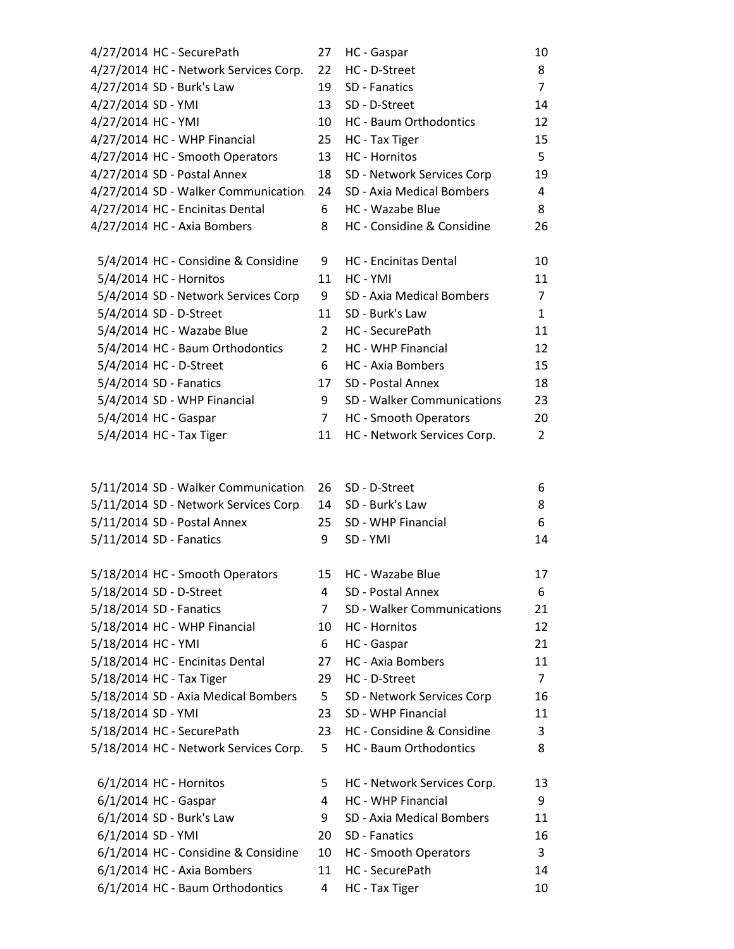| 4/27/2014 HC - SecurePath             | 27             | HC - Gaspar                  | 10             |
|---------------------------------------|----------------|------------------------------|----------------|
| 4/27/2014 HC - Network Services Corp. | 22             | HC - D-Street                | 8              |
| 4/27/2014 SD - Burk's Law             | 19             | SD - Fanatics                | $\overline{7}$ |
| 4/27/2014 SD - YMI                    | 13             | SD - D-Street                | 14             |
| 4/27/2014 HC - YMI                    | 10             | HC - Baum Orthodontics       | 12             |
| 4/27/2014 HC - WHP Financial          | 25             | HC - Tax Tiger               | 15             |
| 4/27/2014 HC - Smooth Operators       | 13             | <b>HC</b> - Hornitos         | 5              |
| 4/27/2014 SD - Postal Annex           | 18             | SD - Network Services Corp   | 19             |
| 4/27/2014 SD - Walker Communication   | 24             | SD - Axia Medical Bombers    | 4              |
| 4/27/2014 HC - Encinitas Dental       | 6              | HC - Wazabe Blue             | 8              |
| 4/27/2014 HC - Axia Bombers           | 8              | HC - Considine & Considine   | 26             |
| 5/4/2014 HC - Considine & Considine   | 9              | <b>HC</b> - Encinitas Dental | 10             |
| 5/4/2014 HC - Hornitos                | 11             | HC - YMI                     | 11             |
| 5/4/2014 SD - Network Services Corp   | 9              | SD - Axia Medical Bombers    | $\overline{7}$ |
| 5/4/2014 SD - D-Street                | 11             | SD - Burk's Law              | $\mathbf{1}$   |
| 5/4/2014 HC - Wazabe Blue             | $\overline{2}$ | HC - SecurePath              | 11             |
| 5/4/2014 HC - Baum Orthodontics       | $\overline{2}$ | <b>HC - WHP Financial</b>    | 12             |
| 5/4/2014 HC - D-Street                | 6              | HC - Axia Bombers            | 15             |
| 5/4/2014 SD - Fanatics                | 17             | SD - Postal Annex            | 18             |
| 5/4/2014 SD - WHP Financial           | 9              | SD - Walker Communications   | 23             |
| 5/4/2014 HC - Gaspar                  | 7              | <b>HC</b> - Smooth Operators | 20             |
| 5/4/2014 HC - Tax Tiger               | 11             | HC - Network Services Corp.  | $\overline{2}$ |
|                                       |                |                              |                |
| 5/11/2014 SD - Walker Communication   | 26             | SD - D-Street                | 6              |
| 5/11/2014 SD - Network Services Corp  | 14             | SD - Burk's Law              | 8              |
| 5/11/2014 SD - Postal Annex           | 25             | SD - WHP Financial           | 6              |
| 5/11/2014 SD - Fanatics               | 9              | SD - YMI                     | 14             |
| 5/18/2014 HC - Smooth Operators       | 15             | HC - Wazabe Blue             | 17             |
| 5/18/2014 SD - D-Street               | 4              | SD - Postal Annex            | 6              |
| 5/18/2014 SD - Fanatics               | 7              | SD - Walker Communications   | 21             |
| 5/18/2014 HC - WHP Financial          | 10             | <b>HC</b> - Hornitos         | 12             |
| 5/18/2014 HC - YMI                    | 6              | HC - Gaspar                  | 21             |
| 5/18/2014 HC - Encinitas Dental       | 27             | HC - Axia Bombers            | 11             |
| 5/18/2014 HC - Tax Tiger              | 29             | HC - D-Street                | $\overline{7}$ |
| 5/18/2014 SD - Axia Medical Bombers   | 5              | SD - Network Services Corp   | 16             |
| 5/18/2014 SD - YMI                    | 23             | SD - WHP Financial           | 11             |
| 5/18/2014 HC - SecurePath             | 23             | HC - Considine & Considine   | 3              |
| 5/18/2014 HC - Network Services Corp. | 5              | HC - Baum Orthodontics       | 8              |
| 6/1/2014 HC - Hornitos                | 5              | HC - Network Services Corp.  | 13             |
| 6/1/2014 HC - Gaspar                  | 4              | HC - WHP Financial           | 9              |
| 6/1/2014 SD - Burk's Law              | 9              | SD - Axia Medical Bombers    | 11             |
| 6/1/2014 SD - YMI                     | 20             | SD - Fanatics                | 16             |
| 6/1/2014 HC - Considine & Considine   | 10             | <b>HC</b> - Smooth Operators | 3              |
| $6/1/2014$ HC - Axia Bombers          | 11             | HC - SecurePath              | 14             |
| 6/1/2014 HC - Baum Orthodontics       | 4              | HC - Tax Tiger               | 10             |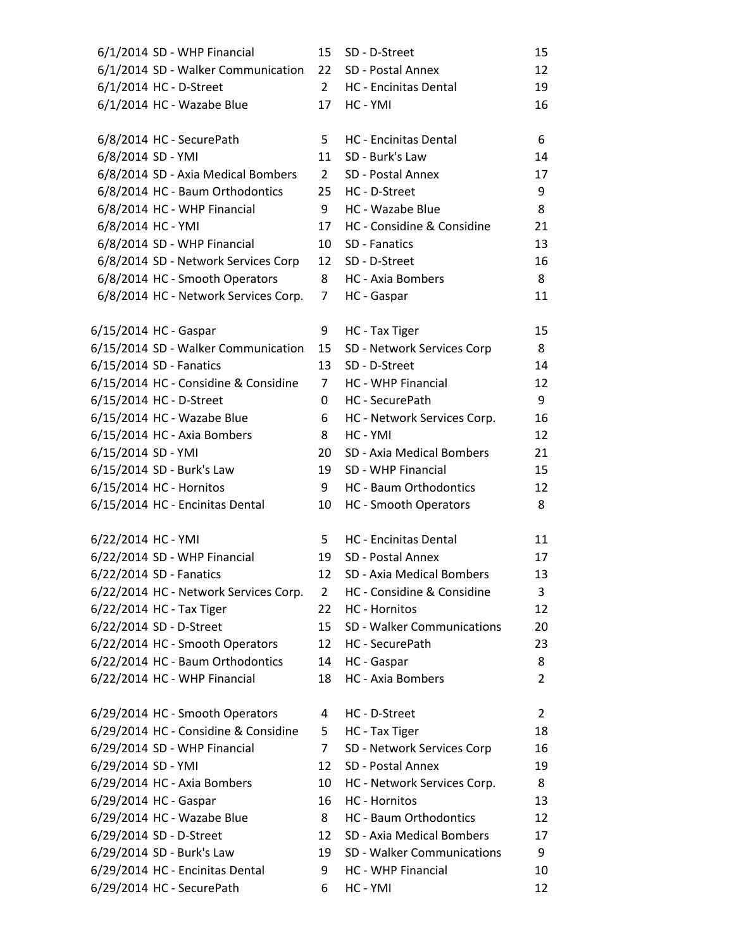|                    | 6/1/2014 SD - WHP Financial           | 15             | SD - D-Street                 | 15             |
|--------------------|---------------------------------------|----------------|-------------------------------|----------------|
|                    | 6/1/2014 SD - Walker Communication    | 22             | SD - Postal Annex             | 12             |
|                    | 6/1/2014 HC - D-Street                | $2^{\circ}$    | HC - Encinitas Dental         | 19             |
|                    | 6/1/2014 HC - Wazabe Blue             | 17             | HC - YMI                      | 16             |
|                    |                                       |                |                               |                |
|                    | 6/8/2014 HC - SecurePath              | 5              | HC - Encinitas Dental         | 6              |
| 6/8/2014 SD - YMI  |                                       | 11             | SD - Burk's Law               | 14             |
|                    | 6/8/2014 SD - Axia Medical Bombers    | $\overline{2}$ | SD - Postal Annex             | 17             |
|                    | 6/8/2014 HC - Baum Orthodontics       | 25             | HC - D-Street                 | 9              |
|                    | 6/8/2014 HC - WHP Financial           | 9              | HC - Wazabe Blue              | 8              |
| 6/8/2014 HC - YMI  |                                       | 17             | HC - Considine & Considine    | 21             |
|                    | 6/8/2014 SD - WHP Financial           | 10             | SD - Fanatics                 | 13             |
|                    | 6/8/2014 SD - Network Services Corp   | 12             | SD - D-Street                 | 16             |
|                    | 6/8/2014 HC - Smooth Operators        | 8              | HC - Axia Bombers             | 8              |
|                    | 6/8/2014 HC - Network Services Corp.  | 7              | HC - Gaspar                   | 11             |
|                    |                                       |                |                               |                |
|                    | 6/15/2014 HC - Gaspar                 | 9              | HC - Tax Tiger                | 15             |
|                    | 6/15/2014 SD - Walker Communication   | 15             | SD - Network Services Corp    | 8              |
|                    | 6/15/2014 SD - Fanatics               | 13             | SD - D-Street                 | 14             |
|                    | 6/15/2014 HC - Considine & Considine  | 7              | HC - WHP Financial            | 12             |
|                    | 6/15/2014 HC - D-Street               | 0              | HC - SecurePath               | 9              |
|                    | 6/15/2014 HC - Wazabe Blue            | 6              | HC - Network Services Corp.   | 16             |
|                    | 6/15/2014 HC - Axia Bombers           | 8              | HC - YMI                      | 12             |
| 6/15/2014 SD - YMI |                                       | 20             | SD - Axia Medical Bombers     | 21             |
|                    | 6/15/2014 SD - Burk's Law             | 19             | SD - WHP Financial            | 15             |
|                    | 6/15/2014 HC - Hornitos               | 9              | <b>HC</b> - Baum Orthodontics | 12             |
|                    | 6/15/2014 HC - Encinitas Dental       | 10             | <b>HC</b> - Smooth Operators  | 8              |
| 6/22/2014 HC - YMI |                                       | 5              | <b>HC</b> - Encinitas Dental  | 11             |
|                    | 6/22/2014 SD - WHP Financial          | 19             | SD - Postal Annex             | 17             |
|                    | 6/22/2014 SD - Fanatics               | 12             | SD - Axia Medical Bombers     | 13             |
|                    | 6/22/2014 HC - Network Services Corp. | 2              | HC - Considine & Considine    | 3              |
|                    | 6/22/2014 HC - Tax Tiger              | 22             | <b>HC</b> - Hornitos          | 12             |
|                    | 6/22/2014 SD - D-Street               | 15             | SD - Walker Communications    | 20             |
|                    | 6/22/2014 HC - Smooth Operators       | 12             | HC - SecurePath               | 23             |
|                    | 6/22/2014 HC - Baum Orthodontics      | 14             | HC - Gaspar                   | 8              |
|                    | 6/22/2014 HC - WHP Financial          | 18             | HC - Axia Bombers             | $\overline{2}$ |
|                    |                                       |                |                               |                |
|                    | 6/29/2014 HC - Smooth Operators       | 4              | HC - D-Street                 | $\overline{2}$ |
|                    | 6/29/2014 HC - Considine & Considine  | 5              | HC - Tax Tiger                | 18             |
|                    | 6/29/2014 SD - WHP Financial          | 7              | SD - Network Services Corp    | 16             |
| 6/29/2014 SD - YMI |                                       | 12             | SD - Postal Annex             | 19             |
|                    | 6/29/2014 HC - Axia Bombers           | 10             | HC - Network Services Corp.   | 8              |
|                    | 6/29/2014 HC - Gaspar                 | 16             | <b>HC</b> - Hornitos          | 13             |
|                    | 6/29/2014 HC - Wazabe Blue            | 8              | HC - Baum Orthodontics        | 12             |
|                    | 6/29/2014 SD - D-Street               | 12             | SD - Axia Medical Bombers     | 17             |
|                    | 6/29/2014 SD - Burk's Law             | 19             | SD - Walker Communications    | 9              |
|                    | 6/29/2014 HC - Encinitas Dental       | 9              | HC - WHP Financial            | 10             |
|                    | 6/29/2014 HC - SecurePath             | 6              | HC - YMI                      | 12             |